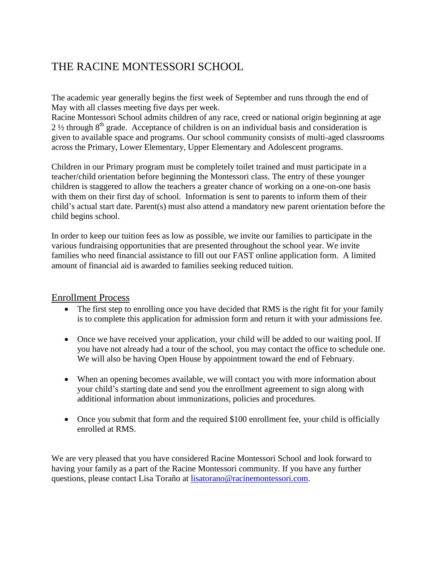# THE RACINE MONTESSORI SCHOOL

The academic year generally begins the first week of September and runs through the end of May with all classes meeting five days per week.

Racine Montessori School admits children of any race, creed or national origin beginning at age  $2\frac{1}{2}$  through 8<sup>th</sup> grade. Acceptance of children is on an individual basis and consideration is given to available space and programs. Our school community consists of multi-aged classrooms across the Primary, Lower Elementary, Upper Elementary and Adolescent programs.

Children in our Primary program must be completely toilet trained and must participate in a teacher/child orientation before beginning the Montessori class. The entry of these younger children is staggered to allow the teachers a greater chance of working on a one-on-one basis with them on their first day of school. Information is sent to parents to inform them of their child's actual start date. Parent(s) must also attend a mandatory new parent orientation before the child begins school.

In order to keep our tuition fees as low as possible, we invite our families to participate in the various fundraising opportunities that are presented throughout the school year. We invite families who need financial assistance to fill out our FAST online application form. A limited amount of financial aid is awarded to families seeking reduced tuition.

## Enrollment Process

- The first step to enrolling once you have decided that RMS is the right fit for your family is to complete this application for admission form and return it with your admissions fee.
- Once we have received your application, your child will be added to our waiting pool. If you have not already had a tour of the school, you may contact the office to schedule one. We will also be having Open House by appointment toward the end of February.
- When an opening becomes available, we will contact you with more information about your child's starting date and send you the enrollment agreement to sign along with additional information about immunizations, policies and procedures.
- Once you submit that form and the required \$100 enrollment fee, your child is officially enrolled at RMS.

We are very pleased that you have considered Racine Montessori School and look forward to having your family as a part of the Racine Montessori community. If you have any further questions, please contact Lisa Toraño at [lisatorano@racinemontessori.com.](mailto:lisatorano@racinemontessori.com)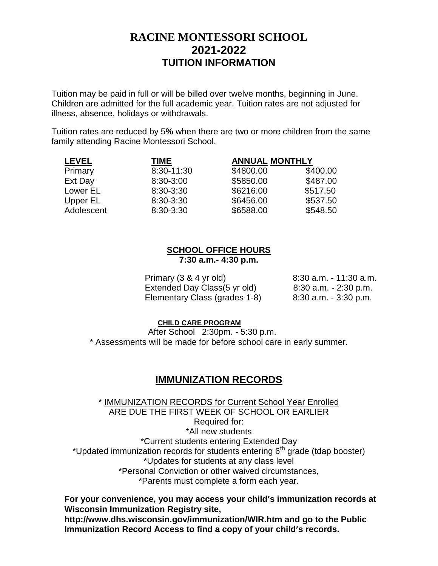## **RACINE MONTESSORI SCHOOL 2021-2022 TUITION INFORMATION**

Tuition may be paid in full or will be billed over twelve months, beginning in June. Children are admitted for the full academic year. Tuition rates are not adjusted for illness, absence, holidays or withdrawals.

Tuition rates are reduced by 5**%** when there are two or more children from the same family attending Racine Montessori School.

| <b>LEVEL</b> | <b>TIME</b> | <b>ANNUAL MONTHLY</b> |          |
|--------------|-------------|-----------------------|----------|
| Primary      | 8:30-11:30  | \$4800.00             | \$400.00 |
| Ext Day      | 8:30-3:00   | \$5850.00             | \$487.00 |
| Lower EL     | 8:30-3:30   | \$6216.00             | \$517.50 |
| Upper EL     | 8:30-3:30   | \$6456.00             | \$537.50 |
| Adolescent   | 8:30-3:30   | \$6588.00             | \$548.50 |

## **SCHOOL OFFICE HOURS 7:30 a.m.- 4:30 p.m.**

| Primary (3 & 4 yr old)        | 8:30 a.m. - 11:30 a.m.   |
|-------------------------------|--------------------------|
| Extended Day Class (5 yr old) | 8:30 a.m. - 2:30 p.m.    |
| Elementary Class (grades 1-8) | $8:30$ a.m. $-3:30$ p.m. |

#### **CHILD CARE PROGRAM**

After School 2:30pm. - 5:30 p.m. \* Assessments will be made for before school care in early summer.

## **IMMUNIZATION RECORDS**

\* IMMUNIZATION RECORDS for Current School Year Enrolled ARE DUE THE FIRST WEEK OF SCHOOL OR EARLIER Required for: \*All new students \*Current students entering Extended Day \*Updated immunization records for students entering 6<sup>th</sup> grade (tdap booster) \*Updates for students at any class level \*Personal Conviction or other waived circumstances, \*Parents must complete a form each year.

**For your convenience, you may access your child's immunization records at Wisconsin Immunization Registry site, <http://www.dhs.wisconsin.gov/immunization/WIR.htm> and go to the Public Immunization Record Access to find a copy of your child's records.**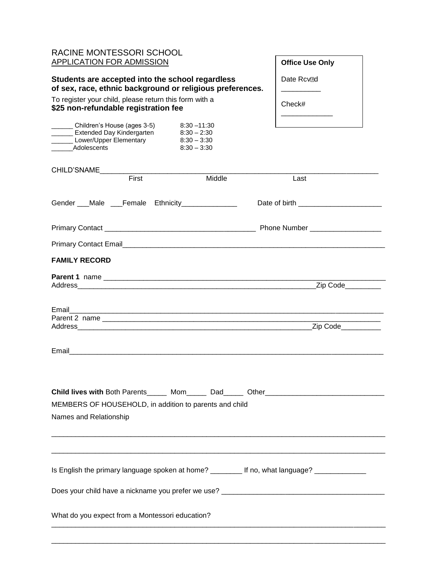| RACINE MONTESSORI SCHOOL  |  |
|---------------------------|--|
| APPLICATION FOR ADMISSION |  |

#### **Students are accepted into the school regardless of sex, race, ethnic background or religious preferences.**

To register your child, please return this form with a **\$25 non-refundable registration fee**

| Children's House (ages 3-5) | $8:30 - 11:30$ |
|-----------------------------|----------------|
| Extended Day Kindergarten   | $8:30 - 2:30$  |
| Lower/Upper Elementary      | $8:30 - 3:30$  |
| Adolescents                 | $8:30 - 3:30$  |

### **Office Use Only**

Date Rcv<sub>ol</sub> \_\_\_\_\_\_\_\_\_\_

\_\_\_\_\_\_\_\_\_\_\_\_\_

Check#

Amount

| CHILD'SNAME                                     |       |                                                                                                               |                                                                                                |  |
|-------------------------------------------------|-------|---------------------------------------------------------------------------------------------------------------|------------------------------------------------------------------------------------------------|--|
|                                                 | First | Middle                                                                                                        | Last                                                                                           |  |
|                                                 |       | Gender ___Male ___Female Ethnicity______________                                                              |                                                                                                |  |
|                                                 |       |                                                                                                               |                                                                                                |  |
|                                                 |       |                                                                                                               |                                                                                                |  |
| <b>FAMILY RECORD</b>                            |       |                                                                                                               |                                                                                                |  |
|                                                 |       |                                                                                                               |                                                                                                |  |
|                                                 |       |                                                                                                               |                                                                                                |  |
|                                                 |       |                                                                                                               |                                                                                                |  |
|                                                 |       | Email and the contract of the contract of the contract of the contract of the contract of the contract of the |                                                                                                |  |
|                                                 |       | MEMBERS OF HOUSEHOLD, in addition to parents and child                                                        | Child lives with Both Parents Mom Dad Other Child lives with Both Parents Mom Dad Other        |  |
| Names and Relationship                          |       |                                                                                                               |                                                                                                |  |
|                                                 |       |                                                                                                               |                                                                                                |  |
|                                                 |       |                                                                                                               | Is English the primary language spoken at home? _________ If no, what language? ______________ |  |
|                                                 |       |                                                                                                               | Does your child have a nickname you prefer we use? _____________________________               |  |
| What do you expect from a Montessori education? |       |                                                                                                               |                                                                                                |  |
|                                                 |       |                                                                                                               |                                                                                                |  |

\_\_\_\_\_\_\_\_\_\_\_\_\_\_\_\_\_\_\_\_\_\_\_\_\_\_\_\_\_\_\_\_\_\_\_\_\_\_\_\_\_\_\_\_\_\_\_\_\_\_\_\_\_\_\_\_\_\_\_\_\_\_\_\_\_\_\_\_\_\_\_\_\_\_\_\_\_\_\_\_\_\_\_\_